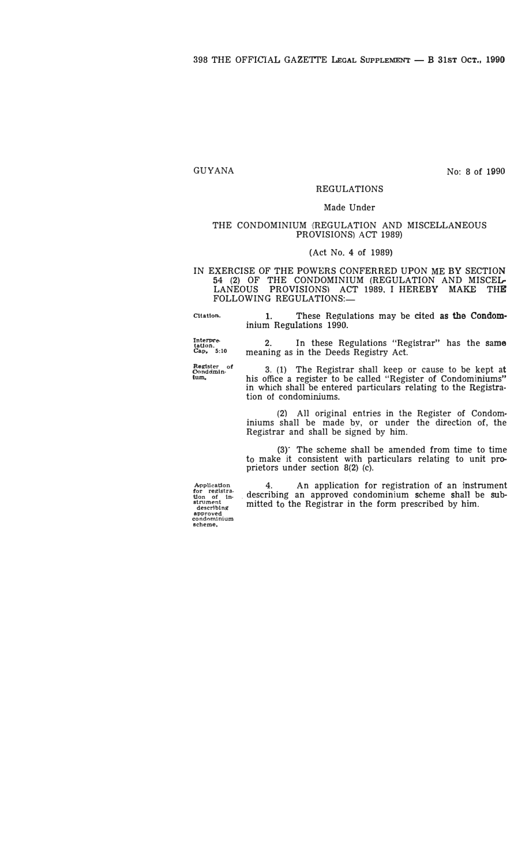# GUYANA

No: **8** of **1990**

# REGULATIONS

#### Made Under

#### THE CONDOMINIUM {REGULATION AND MISCELLANEOUS PROVISIONS) ACT **1989)**

#### (Act No. **4** of **1989)**

IN EXERCISE OF THE POWERS CONFERRED UPON ME BY SECTION  $54$  (2) OF THE CONDOMINIUM (REGULATION AND MISCEL. LANEOUS PROVISIONS) ACT **1989,** I HEREBY **MAKE** THE FOLLOWING REGULATIONS:-

meaning as in the Deeds Registry Act.

**Cltatton.** 1. These Regulations may be cited **as the Condom**inium Regulations **1990.**

Interpre-<br>tation.<br>Cap, 5:10

**Register** o<br>Conddmin-

' 3. (1) The Registrar shall keep or cause to be kept at **tum.** his office a register to be called "Register of Condominiums" in which shall be entered particulars relating to the Registration ot condominiums.

In these Regulations "Registrar" has the same

(2) All original entries in the Register of Condominiums shall be made by, or under the direction of, the Registrar and shall be signed by him.

(3)' The scheme shall be amended from time to time to make it consistent with particulars relating to unit proprietors under section 8(2) (c).

Application<br> **for registra-<br>
<b>tion of in-**<br> **describing approved condominium scheme,** 

An application for registration of an instrument describing an approved condominium scheme shall be submitted to the Registrar in the form prescribed by him.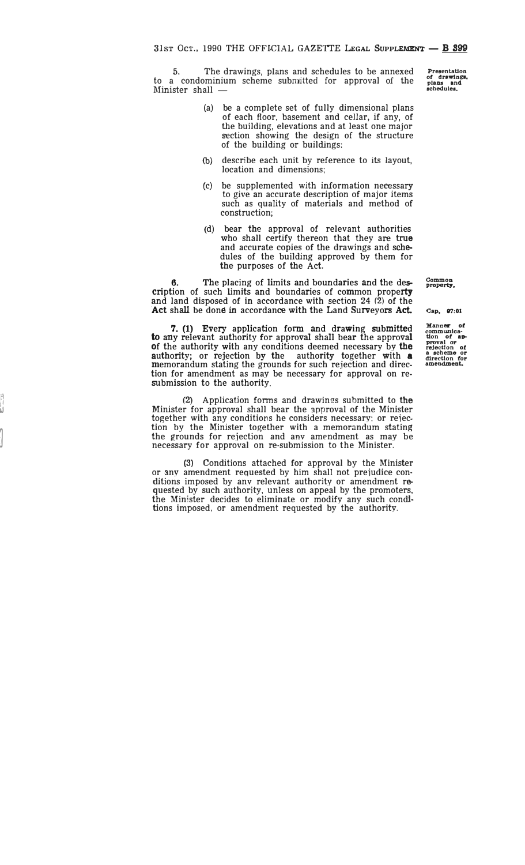The drawings, plans and schedules to be annexed to a condominium scheme submitted for approval of the Minister shall —

- (a) be a complete set of fully dimensional plans of each floor, basement and cellar, if any, of the building, elevations and at least one major section showing the design of the structure of the building or buildings;
- (b ) describe each unit by reference to its layout, location and dimensions;
- (c) be supplemented with information necessary to give an accurate description of major items such as quality of materials and method of construction;
- (d) bear the approval of relevant authoritie s who shall certify thereon that they are **true** and accurate copies of the drawings and schedules of the building approved by them for the purposes of the Act.

6. The placing of limits and boundaries and the description of such limits and boundaries of common property and land disposed of in accordance with section 24 (2) of the Act shall be done in accordance with the Land Surveyors Act.

7. (1) Every application form and drawing submitted to any relevant authority for approval shall bear the approval of the authority with any conditions deemed necessary by the authority; or rejection by the authority together with a memorandum stating the grounds for such rejection and direction for amendment as may be necessary for approval on resubmission to the authority.

**(2)** Application forms and drawings submitted to **the** Minister for approval shall bear the approval of the Minister together with any conditions he considers necessary; or reiection by the Minister together with a memorandum stating the grounds for rejection and any amendment as may be necessary for approval on re-submission to the Minister.

 $\frac{1}{2}$ J

 $\int$ 

(3) Conditions attached for approval by the Minister or any amendment requested by him shall not prejudice conditions imposed by any relevant authority or amendment requested by such authority, unless on appeal by the promoters, the Minister decides to eliminate or modify any such conditions imposed, or amendment requested by the authority.

**Common property,** 

**Presentation of drawings,<br>plans and<br>schedules.** 

Cap,  $97:01$ 

**Manner of**<br> **communica-**<br> **proval or**<br> **rejection of**<br> **a** scheme or<br> **direction for**<br> **amendment.**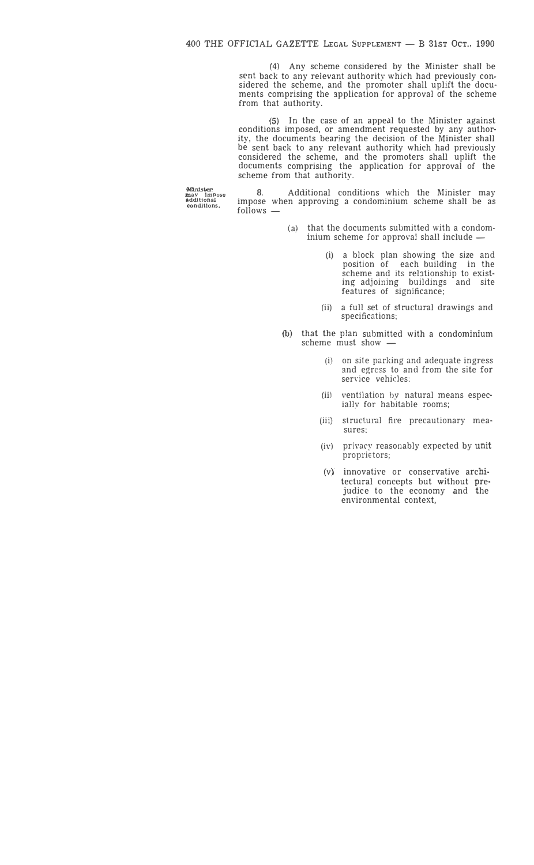(4) Any scheme considered by the Minister shall be sent back to any relevant authority which had previously considered the scheme, and the promoter shall uplift the documents comprising the application for approval of the scheme from that authority.

(5) In the case of an appeal to the Minister against conditions imposed, or amendment requested by any authority, the documents bearing the decision of the Minister shall be sent back to any relevant authority which had previously considered the scheme, and the promoters shall uplift the documents comprising the application for approval of the scheme from that authority.

**Minister**<br>**m**ay Impose<br>**additional**<br>**conditions.** 

Additional conditions which the Minister may impose when approving a condominium scheme shall be as follows -

- (a) that the documents submitted with a condominium scheme for approval shall include -
	- (i) a block plan showing the size and position of each building in the scheme and its relationship to existing adjoining buildings and site features of significance;
	- (ii) a full set of structural drawings and specifications;
- (b) that the plan submitted with a condominium scheme must show -
	- (i) on site parking and adequate ingress and egress to and from the site for service vehicles:
	- (ii) ventilation by natural means especially for habitable rooms;
	- (iii) structural fire precautionary measures;
	- (iv) privacy reasonably expected by **unit** proprietors;
	- (v} innovative or conservative architectural concepts but without pre• judice to the economy and the environmental context,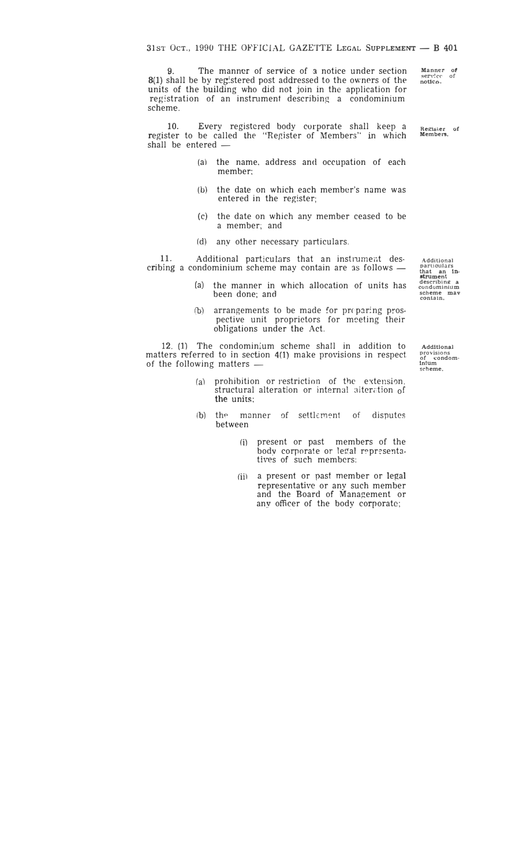9. The manner of service of a notice under section 8(1) shall be by registered post addressed to the owners of the units of the building who did not join in the application for registration of an instrument describing a condominium scheme.

**10.** Every registered body corporate shall keep a register to be called the "Register of Members'' in which shall be entered -

- (a) the name, address and occupation of each member;
- (b) the date on which each member's name was entered in the register;
- (c) the date on which any member ceased to be a member; and
- (d) any other necessary particulars.

11. Additional particulars that an instrument describing a condominium scheme may contain are as follows  $-$ 

- (a) the manner in which allocation of units has been done; and
- $(b)$  arrangements to be made for preparing prospective unit proprietors for meeting their obligations under the Act.

12. **(1)** The condominium scheme shall in addition to matters referred to in section 4(1) make provisions in respect of the following matters -

- (a) prohibition or restriction of the extension. structural alteration or internal alteration of **the** units;
- (b) the manner of settlem�nt of disputes between
	- (i) present or past members of the body corporate or legal representatives of such members:
	- (ii) a present or past member or legal representative or any such member and the Board of Management or any officer of the body corporate;

**Additional particulars that an in-strument describing a condominium scheme mav contain.** 

**Additional provisions of condom-inJum scheme.** 

**Manner** of **service** of *notico***,** 

**Register** of **Members**,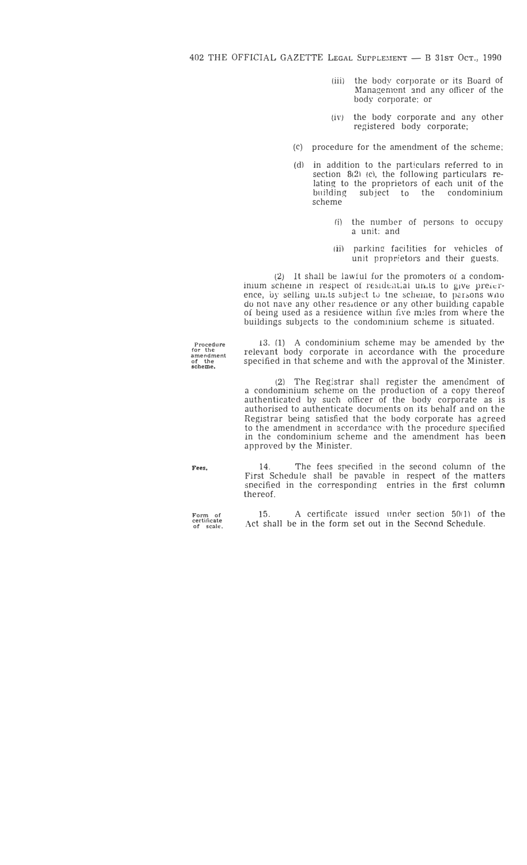402 THE OFFICIAL GAZETTE LEGAL SUPPLEMENT - B 31ST OCT., 1990

- (iii) the body corporate or its Board of Management and any officer of the body corporate; or
- *(iv)* the body corporate and any other registered body corporate;
- (c) procedure for the amendment of the scheme;
- (d) in addition to the particulars referred to in section 8(2) (c), the following particulars relating to the proprietors of each unit of the building subject to the condominium scheme
	- (i) the number of persons to occupy a unit: and
	- (ii) parking facilities for vehicles of unit proprietors and their guests.

(2) It shall be lawful for the promoters of a condominium scheme in respect of residential units to give preference, by selling units subject to tne scheme, to persons wno do not nave any other res;dence or any other building capable of being used as a residence within five miles from where the buildings subjects to the condominium scheme is situated.

**Procedure for the amendment of the scheme,** 

13. (1) A condominium scheme may be amended by the relevant body corporate in accordance with the procedure specified *in* that scheme and with the approval of the Minister.

(2) The Registrar shall register the amendment of a condominium scheme on the production of a copy thereof authenticated by such officer of the body corporate as is authorised to authenticate documents on its behalf and on the Registrar being satisfied that the body corporate has agreed to the amendment in accordance with the procedure specified in the condominium scheme and the amendment has been approved by the Minister.

14. The fees specified in the second column of the *First* Schedule shall be payable in respect of the matters soecified in the corresponding entries in the first column

**Fees,** 

**Form of certificate of scale,** 

thereof.

15. A certificate issued under section  $50(1)$  of the Act shall be in the form set out in the Second Schedule.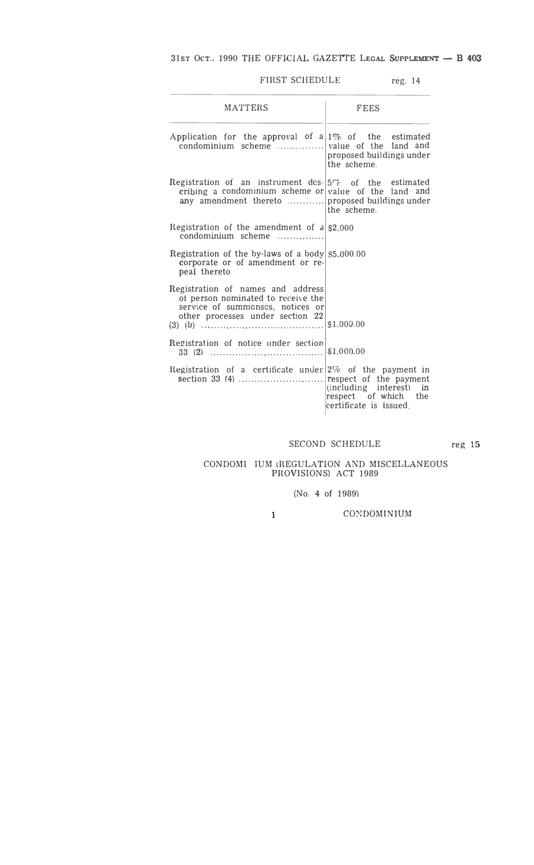# FIRST SCHEDULE reg. 14

| <b>MATTERS</b>                                                                                                                                  | <b>FEES</b>                                                               |
|-------------------------------------------------------------------------------------------------------------------------------------------------|---------------------------------------------------------------------------|
| Application for the approval of $a 1\%$ of the estimated<br>condominium scheme  value of the land and                                           | proposed buildings under<br>the scheme.                                   |
| Registration of an instrument des- $5\%$ of the estimated<br>cribing a condominium scheme or value of the land and                              | the scheme.                                                               |
| Registration of the amendment of $a S2,000$<br>condominium scheme                                                                               |                                                                           |
| Registration of the by-laws of a body $ 55.000.00 $<br>corporate or of amendment or re-<br>peal thereto                                         |                                                                           |
| Registration of names and address<br>of person nominated to receive the<br>service of summonses, notices or<br>other processes under section 22 |                                                                           |
| Registration of notice under section                                                                                                            | \$1,000.00                                                                |
| Registration of a certificate under $ 2\%$ of the payment in                                                                                    | (including interest) in<br>respect of which the<br>certificate is issued. |

SECOND SCHEDULE reg **15**

#### CONDOM! IUM (REGULATION AND MISCELLANEOUS PROVISIONS) ACT 1989

# (No. 4 of 1989)

**1** 

CONDOMINIUM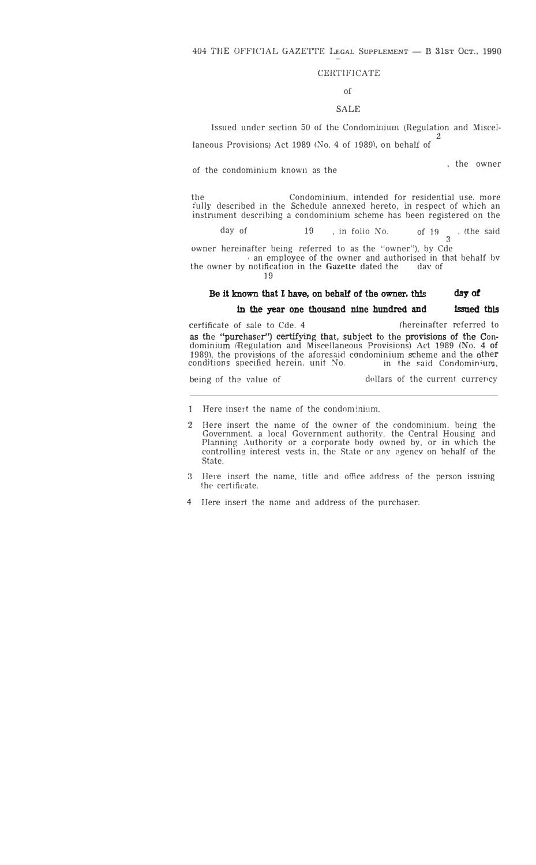# CERTIFICATE

# of

### SALE

Issued under section 50 of the Condominium (Regulation and Miscel-

laneous Provisions) Act 1989 (No. 4 of 1989), on behalf of

of the condominium known as the

, the owner

2

the Condominium, intended for residential use, more tully described in the Schedule annexed hereto, in respect of which an mstrument describing a condominium scheme has been registered on the

day of 19 , in folio No. of 19 **3**  . (the said

owner hereinafter being referred to as the "owner"), by Cde an employee of the owner and authorised in that behalf by notification in the Gazette dated the day of

the owner by notification in the Gazette dated the 19

#### **Be it known that 1 have, on behalf of the owner, this dayj of**

#### in the year one thousand nine hundred and **Issued this**

certificate of sale to Cde. 4 (hereinafter referred to as the "purchaser'') certifying that, subject to the provisions of the Condominium (Regulation and Miscellaneous Provisions) Act 1989 (No. 4 of 1989), the provisions of the aforesaid condominium scheme and the other conditions specified herein. unit No. <br>in the said Condominium, conditions specified herein. unit No.

being of the value of dollars of the current currency

- ] Here insert the name of the condominium.
- 2 Here insert the name of the owner of the condominium. being the Government, a local Government authority. the Central Housing and Planning Authority or a corporate body owned by, or in which the controlling interest vests in, the State or any agency on behalf of the State.
- 3 Here insert the name, title and office address of the person issuing the certificate.
- 4 Here insert the name and address of the purchaser.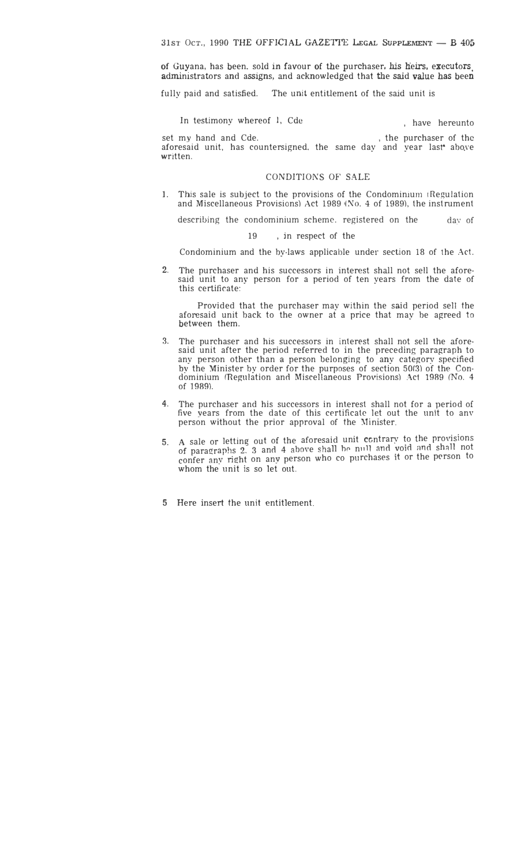of Guyana, has been. sold in favour of the purchaser, his heirs, executors. administrators and assigns, and acknowledged that the said value has been

fully paid and satisfied. The unit entitlement of the said unit is

In testimony whereof 1, Cde , have hereunto

set my hand and Cde. , the purchaser of the aforesaid unit, has countersigned, the same day and year last abo.ve written.

### CONDITIONS OF SALE

1. This sale is subject to the provisions of the Condominium (Regulation and Miscellaneous Provisions) Act 1989 *(No.* 4 of 1989), the instrument

describing the condominium scheme. registered on the day of

19 , jn respect of the

Condominium and the by-laws applicable under section 18 of the Act.

2. The purchaser and his successors in interest shall not sell the aforesaid unit to any person for a period of ten years from the date of this certificate:

Provided that the purchaser may within the said period sell the aforesaid unit back to the owner at a price that may be agreed to between them.

- 3. The purchaser and his successors in interest shall not sell the aforesaid unit after the period referred to in the preceding paragraph to any person other than a person belonging to any category specified by the Minister by order for the purposes of section 50(3) of the Condominium (Regulation and Miscellaneous Provisions) Act 1989 *(No. 4* of 1989).
- 4. The purchaser and his successors in interest shall not for a period of five years from the date of this certificate let out the unit to anv person without the prior approval of the Minister.
- 5. A sale or letting out of the aforesaid unit contrary to the provi A sale or letting out of the aforesaid unit contrary to the provisions<br>of paragraphs 2, 3 and 4 above shall be null and yoid and shall not confer any right on any person who co purchases it or the person to whom the unit is so let out.
- 5 Here insert the unit entitlement.